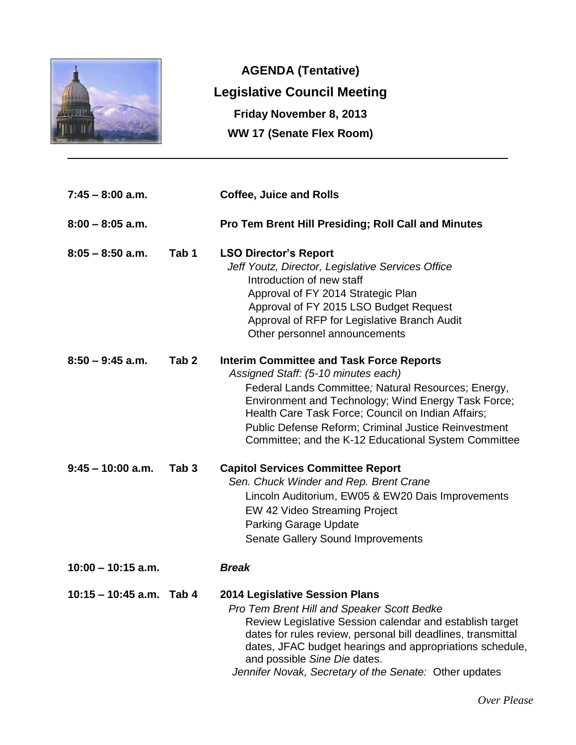

**AGENDA (Tentative) Legislative Council Meeting Friday November 8, 2013 WW 17 (Senate Flex Room)**

| $7:45 - 8:00$ a.m.         |                  | <b>Coffee, Juice and Rolls</b>                                                                                                                                                                                                                                                                                                                                                    |
|----------------------------|------------------|-----------------------------------------------------------------------------------------------------------------------------------------------------------------------------------------------------------------------------------------------------------------------------------------------------------------------------------------------------------------------------------|
| $8:00 - 8:05$ a.m.         |                  | <b>Pro Tem Brent Hill Presiding; Roll Call and Minutes</b>                                                                                                                                                                                                                                                                                                                        |
| $8:05 - 8:50$ a.m.         | Tab <sub>1</sub> | <b>LSO Director's Report</b><br>Jeff Youtz, Director, Legislative Services Office<br>Introduction of new staff<br>Approval of FY 2014 Strategic Plan<br>Approval of FY 2015 LSO Budget Request<br>Approval of RFP for Legislative Branch Audit<br>Other personnel announcements                                                                                                   |
| $8:50 - 9:45$ a.m.         | Tab <sub>2</sub> | <b>Interim Committee and Task Force Reports</b><br>Assigned Staff: (5-10 minutes each)<br>Federal Lands Committee; Natural Resources; Energy,<br>Environment and Technology; Wind Energy Task Force;<br>Health Care Task Force; Council on Indian Affairs;<br><b>Public Defense Reform; Criminal Justice Reinvestment</b><br>Committee; and the K-12 Educational System Committee |
| $9:45 - 10:00$ a.m.        | Tab <sub>3</sub> | <b>Capitol Services Committee Report</b><br>Sen. Chuck Winder and Rep. Brent Crane<br>Lincoln Auditorium, EW05 & EW20 Dais Improvements<br>EW 42 Video Streaming Project<br><b>Parking Garage Update</b><br><b>Senate Gallery Sound Improvements</b>                                                                                                                              |
| $10:00 - 10:15$ a.m.       |                  | <b>Break</b>                                                                                                                                                                                                                                                                                                                                                                      |
| $10:15 - 10:45$ a.m. Tab 4 |                  | <b>2014 Legislative Session Plans</b><br>Pro Tem Brent Hill and Speaker Scott Bedke<br>Review Legislative Session calendar and establish target<br>dates for rules review, personal bill deadlines, transmittal<br>dates, JFAC budget hearings and appropriations schedule,<br>and possible Sine Die dates.<br>Jennifer Novak, Secretary of the Senate: Other updates             |